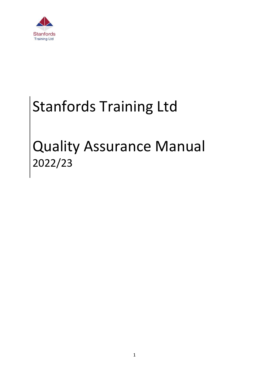

# Stanfords Training Ltd

# Quality Assurance Manual 2022/23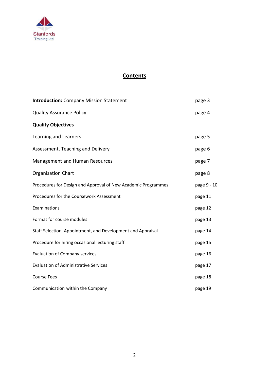

# **Contents**

| <b>Introduction: Company Mission Statement</b>                | page 3      |
|---------------------------------------------------------------|-------------|
| <b>Quality Assurance Policy</b>                               | page 4      |
| <b>Quality Objectives</b>                                     |             |
| Learning and Learners                                         | page 5      |
| Assessment, Teaching and Delivery                             | page 6      |
| Management and Human Resources                                | page 7      |
| <b>Organisation Chart</b>                                     | page 8      |
| Procedures for Design and Approval of New Academic Programmes | page 9 - 10 |
| Procedures for the Coursework Assessment                      | page 11     |
| Examinations                                                  | page 12     |
| Format for course modules                                     | page 13     |
| Staff Selection, Appointment, and Development and Appraisal   | page 14     |
| Procedure for hiring occasional lecturing staff               | page 15     |
| <b>Evaluation of Company services</b>                         | page 16     |
| <b>Evaluation of Administrative Services</b>                  | page 17     |
| <b>Course Fees</b>                                            | page 18     |
| Communication within the Company                              | page 19     |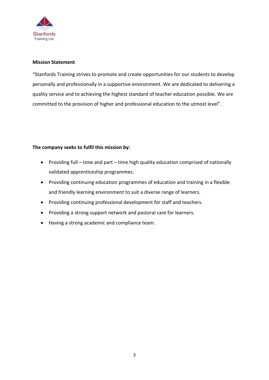

#### **Mission Statement**

"Stanfords Training strives to promote and create opportunities for our students to develop personally and professionally in a supportive environment. We are dedicated to delivering a quality service and to achieving the highest standard of teacher education possible. We are committed to the provision of higher and professional education to the utmost level".

# **The company seeks to fulfil this mission by:**

- Providing full time and part time high quality education comprised of nationally validated apprenticeship programmes.
- Providing continuing education programmes of education and training in a flexible and friendly learning environment to suit a diverse range of learners.
- Providing continuing professional development for staff and teachers.
- Providing a strong support network and pastoral care for learners.
- Having a strong academic and compliance team.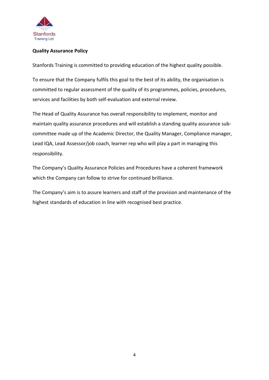

# **Quality Assurance Policy**

Stanfords Training is committed to providing education of the highest quality possible.

To ensure that the Company fulfils this goal to the best of its ability, the organisation is committed to regular assessment of the quality of its programmes, policies, procedures, services and facilities by both self-evaluation and external review.

The Head of Quality Assurance has overall responsibility to implement, monitor and maintain quality assurance procedures and will establish a standing quality assurance subcommittee made up of the Academic Director, the Quality Manager, Compliance manager, Lead IQA, Lead Assessor/job coach, learner rep who will play a part in managing this responsibility.

The Company's Quality Assurance Policies and Procedures have a coherent framework which the Company can follow to strive for continued brilliance.

The Company's aim is to assure learners and staff of the provision and maintenance of the highest standards of education in line with recognised best practice.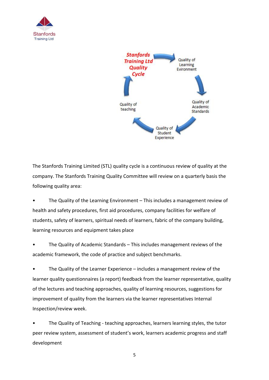



The Stanfords Training Limited (STL) quality cycle is a continuous review of quality at the company. The Stanfords Training Quality Committee will review on a quarterly basis the following quality area:

• The Quality of the Learning Environment – This includes a management review of health and safety procedures, first aid procedures, company facilities for welfare of students, safety of learners, spiritual needs of learners, fabric of the company building, learning resources and equipment takes place

• The Quality of Academic Standards – This includes management reviews of the academic framework, the code of practice and subject benchmarks.

• The Quality of the Learner Experience – includes a management review of the learner quality questionnaires (a report) feedback from the learner representative, quality of the lectures and teaching approaches, quality of learning resources, suggestions for improvement of quality from the learners via the learner representatives Internal Inspection/review week.

The Quality of Teaching - teaching approaches, learners learning styles, the tutor peer review system, assessment of student's work, learners academic progress and staff development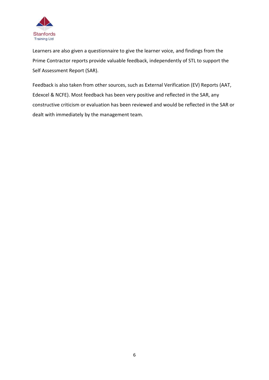

Learners are also given a questionnaire to give the learner voice, and findings from the Prime Contractor reports provide valuable feedback, independently of STL to support the Self Assessment Report (SAR).

Feedback is also taken from other sources, such as External Verification (EV) Reports (AAT, Edexcel & NCFE). Most feedback has been very positive and reflected in the SAR, any constructive criticism or evaluation has been reviewed and would be reflected in the SAR or dealt with immediately by the management team.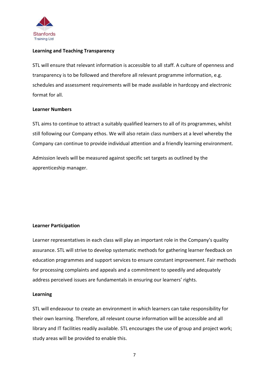

#### **Learning and Teaching Transparency**

STL will ensure that relevant information is accessible to all staff. A culture of openness and transparency is to be followed and therefore all relevant programme information, e.g. schedules and assessment requirements will be made available in hardcopy and electronic format for all.

#### **Learner Numbers**

STL aims to continue to attract a suitably qualified learners to all of its programmes, whilst still following our Company ethos. We will also retain class numbers at a level whereby the Company can continue to provide individual attention and a friendly learning environment.

Admission levels will be measured against specific set targets as outlined by the apprenticeship manager.

#### **Learner Participation**

Learner representatives in each class will play an important role in the Company's quality assurance. STL will strive to develop systematic methods for gathering learner feedback on education programmes and support services to ensure constant improvement. Fair methods for processing complaints and appeals and a commitment to speedily and adequately address perceived issues are fundamentals in ensuring our learners' rights.

#### **Learning**

STL will endeavour to create an environment in which learners can take responsibility for their own learning. Therefore, all relevant course information will be accessible and all library and IT facilities readily available. STL encourages the use of group and project work; study areas will be provided to enable this.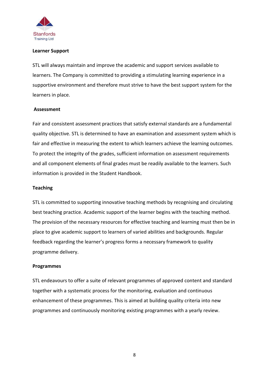

#### **Learner Support**

STL will always maintain and improve the academic and support services available to learners. The Company is committed to providing a stimulating learning experience in a supportive environment and therefore must strive to have the best support system for the learners in place.

#### **Assessment**

Fair and consistent assessment practices that satisfy external standards are a fundamental quality objective. STL is determined to have an examination and assessment system which is fair and effective in measuring the extent to which learners achieve the learning outcomes. To protect the integrity of the grades, sufficient information on assessment requirements and all component elements of final grades must be readily available to the learners. Such information is provided in the Student Handbook.

#### **Teaching**

STL is committed to supporting innovative teaching methods by recognising and circulating best teaching practice. Academic support of the learner begins with the teaching method. The provision of the necessary resources for effective teaching and learning must then be in place to give academic support to learners of varied abilities and backgrounds. Regular feedback regarding the learner's progress forms a necessary framework to quality programme delivery.

#### **Programmes**

STL endeavours to offer a suite of relevant programmes of approved content and standard together with a systematic process for the monitoring, evaluation and continuous enhancement of these programmes. This is aimed at building quality criteria into new programmes and continuously monitoring existing programmes with a yearly review.

8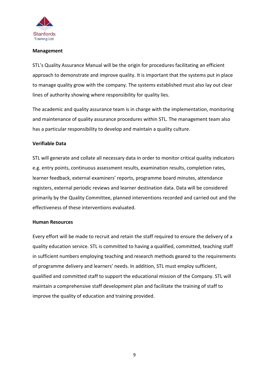

#### **Management**

STL's Quality Assurance Manual will be the origin for procedures facilitating an efficient approach to demonstrate and improve quality. It is important that the systems put in place to manage quality grow with the company. The systems established must also lay out clear lines of authority showing where responsibility for quality lies.

The academic and quality assurance team is in charge with the implementation, monitoring and maintenance of quality assurance procedures within STL. The management team also has a particular responsibility to develop and maintain a quality culture.

#### **Verifiable Data**

STL will generate and collate all necessary data in order to monitor critical quality indicators e.g. entry points, continuous assessment results, examination results, completion rates, learner feedback, external examiners' reports, programme board minutes, attendance registers, external periodic reviews and learner destination data. Data will be considered primarily by the Quality Committee, planned interventions recorded and carried out and the effectiveness of these interventions evaluated.

#### **Human Resources**

Every effort will be made to recruit and retain the staff required to ensure the delivery of a quality education service. STL is committed to having a qualified, committed, teaching staff in sufficient numbers employing teaching and research methods geared to the requirements of programme delivery and learners' needs. In addition, STL must employ sufficient, qualified and committed staff to support the educational mission of the Company. STL will maintain a comprehensive staff development plan and facilitate the training of staff to improve the quality of education and training provided.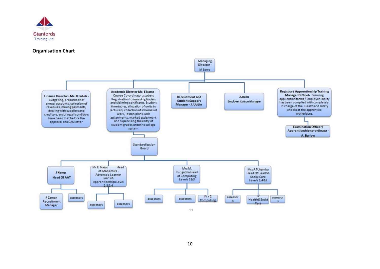

#### **Organisation Chart**

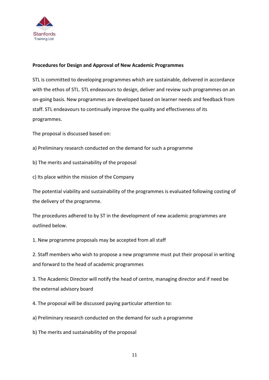

# **Procedures for Design and Approval of New Academic Programmes**

STL is committed to developing programmes which are sustainable, delivered in accordance with the ethos of STL. STL endeavours to design, deliver and review such programmes on an on-going basis. New programmes are developed based on learner needs and feedback from staff. STL endeavours to continually improve the quality and effectiveness of its programmes.

The proposal is discussed based on:

- a) Preliminary research conducted on the demand for such a programme
- b) The merits and sustainability of the proposal
- c) Its place within the mission of the Company

The potential viability and sustainability of the programmes is evaluated following costing of the delivery of the programme.

The procedures adhered to by ST in the development of new academic programmes are outlined below.

1. New programme proposals may be accepted from all staff

2. Staff members who wish to propose a new programme must put their proposal in writing and forward to the head of academic programmes

3. The Academic Director will notify the head of centre, managing director and if need be the external advisory board

4. The proposal will be discussed paying particular attention to:

a) Preliminary research conducted on the demand for such a programme

b) The merits and sustainability of the proposal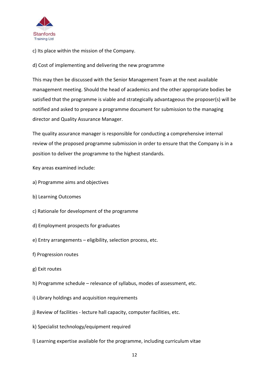

c) Its place within the mission of the Company.

d) Cost of implementing and delivering the new programme

This may then be discussed with the Senior Management Team at the next available management meeting. Should the head of academics and the other appropriate bodies be satisfied that the programme is viable and strategically advantageous the proposer(s) will be notified and asked to prepare a programme document for submission to the managing director and Quality Assurance Manager.

The quality assurance manager is responsible for conducting a comprehensive internal review of the proposed programme submission in order to ensure that the Company is in a position to deliver the programme to the highest standards.

Key areas examined include:

- a) Programme aims and objectives
- b) Learning Outcomes
- c) Rationale for development of the programme
- d) Employment prospects for graduates
- e) Entry arrangements eligibility, selection process, etc.
- f) Progression routes
- g) Exit routes
- h) Programme schedule relevance of syllabus, modes of assessment, etc.
- i) Library holdings and acquisition requirements
- j) Review of facilities lecture hall capacity, computer facilities, etc.
- k) Specialist technology/equipment required
- l) Learning expertise available for the programme, including curriculum vitae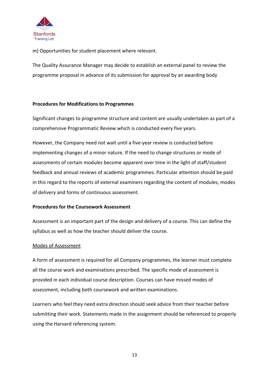

m) Opportunities for student placement where relevant.

The Quality Assurance Manager may decide to establish an external panel to review the programme proposal in advance of its submission for approval by an awarding body

## **Procedures for Modifications to Programmes**

Significant changes to programme structure and content are usually undertaken as part of a comprehensive Programmatic Review which is conducted every five years.

However, the Company need not wait until a five-year review is conducted before implementing changes of a minor nature. If the need to change structures or mode of assessments of certain modules become apparent over time in the light of staff/student feedback and annual reviews of academic programmes. Particular attention should be paid in this regard to the reports of external examiners regarding the content of modules, modes of delivery and forms of continuous assessment.

#### **Procedures for the Coursework Assessment**

Assessment is an important part of the design and delivery of a course. This can define the syllabus as well as how the teacher should deliver the course.

#### Modes of Assessment

A form of assessment is required for all Company programmes, the learner must complete all the course work and examinations prescribed. The specific mode of assessment is provided in each individual course description. Courses can have missed modes of assessment, including both coursework and written examinations.

Learners who feel they need extra direction should seek advice from their teacher before submitting their work. Statements made in the assignment should be referenced to properly using the Harvard referencing system.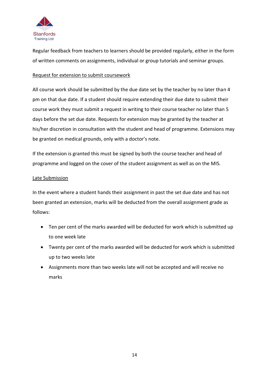

Regular feedback from teachers to learners should be provided regularly, either in the form of written comments on assignments, individual or group tutorials and seminar groups.

# Request for extension to submit coursework

All course work should be submitted by the due date set by the teacher by no later than 4 pm on that due date. If a student should require extending their due date to submit their course work they must submit a request in writing to their course teacher no later than 5 days before the set due date. Requests for extension may be granted by the teacher at his/her discretion in consultation with the student and head of programme. Extensions may be granted on medical grounds, only with a doctor's note.

If the extension is granted this must be signed by both the course teacher and head of programme and logged on the cover of the student assignment as well as on the MIS.

## Late Submission

In the event where a student hands their assignment in past the set due date and has not been granted an extension, marks will be deducted from the overall assignment grade as follows:

- Ten per cent of the marks awarded will be deducted for work which is submitted up to one week late
- Twenty per cent of the marks awarded will be deducted for work which is submitted up to two weeks late
- Assignments more than two weeks late will not be accepted and will receive no marks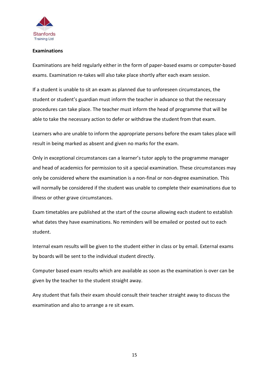

#### **Examinations**

Examinations are held regularly either in the form of paper-based exams or computer-based exams. Examination re-takes will also take place shortly after each exam session.

If a student is unable to sit an exam as planned due to unforeseen circumstances, the student or student's guardian must inform the teacher in advance so that the necessary procedures can take place. The teacher must inform the head of programme that will be able to take the necessary action to defer or withdraw the student from that exam.

Learners who are unable to inform the appropriate persons before the exam takes place will result in being marked as absent and given no marks for the exam.

Only in exceptional circumstances can a learner's tutor apply to the programme manager and head of academics for permission to sit a special examination. These circumstances may only be considered where the examination is a non-final or non-degree examination. This will normally be considered if the student was unable to complete their examinations due to illness or other grave circumstances.

Exam timetables are published at the start of the course allowing each student to establish what dates they have examinations. No reminders will be emailed or posted out to each student.

Internal exam results will be given to the student either in class or by email. External exams by boards will be sent to the individual student directly.

Computer based exam results which are available as soon as the examination is over can be given by the teacher to the student straight away.

Any student that fails their exam should consult their teacher straight away to discuss the examination and also to arrange a re sit exam.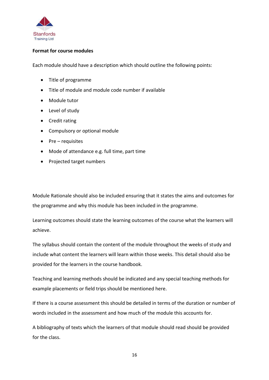

## **Format for course modules**

Each module should have a description which should outline the following points:

- Title of programme
- Title of module and module code number if available
- Module tutor
- Level of study
- Credit rating
- Compulsory or optional module
- Pre requisites
- Mode of attendance e.g. full time, part time
- Projected target numbers

Module Rationale should also be included ensuring that it states the aims and outcomes for the programme and why this module has been included in the programme.

Learning outcomes should state the learning outcomes of the course what the learners will achieve.

The syllabus should contain the content of the module throughout the weeks of study and include what content the learners will learn within those weeks. This detail should also be provided for the learners in the course handbook.

Teaching and learning methods should be indicated and any special teaching methods for example placements or field trips should be mentioned here.

If there is a course assessment this should be detailed in terms of the duration or number of words included in the assessment and how much of the module this accounts for.

A bibliography of texts which the learners of that module should read should be provided for the class.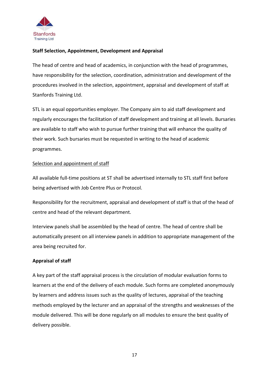

# **Staff Selection, Appointment, Development and Appraisal**

The head of centre and head of academics, in conjunction with the head of programmes, have responsibility for the selection, coordination, administration and development of the procedures involved in the selection, appointment, appraisal and development of staff at Stanfords Training Ltd.

STL is an equal opportunities employer. The Company aim to aid staff development and regularly encourages the facilitation of staff development and training at all levels. Bursaries are available to staff who wish to pursue further training that will enhance the quality of their work. Such bursaries must be requested in writing to the head of academic programmes.

## Selection and appointment of staff

All available full-time positions at ST shall be advertised internally to STL staff first before being advertised with Job Centre Plus or Protocol.

Responsibility for the recruitment, appraisal and development of staff is that of the head of centre and head of the relevant department.

Interview panels shall be assembled by the head of centre. The head of centre shall be automatically present on all interview panels in addition to appropriate management of the area being recruited for.

# **Appraisal of staff**

A key part of the staff appraisal process is the circulation of modular evaluation forms to learners at the end of the delivery of each module. Such forms are completed anonymously by learners and address issues such as the quality of lectures, appraisal of the teaching methods employed by the lecturer and an appraisal of the strengths and weaknesses of the module delivered. This will be done regularly on all modules to ensure the best quality of delivery possible.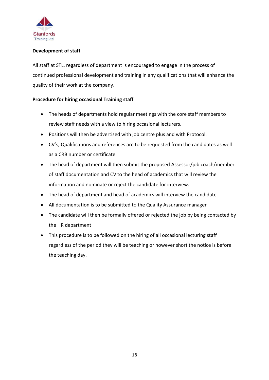

# **Development of staff**

All staff at STL, regardless of department is encouraged to engage in the process of continued professional development and training in any qualifications that will enhance the quality of their work at the company.

# **Procedure for hiring occasional Training staff**

- The heads of departments hold regular meetings with the core staff members to review staff needs with a view to hiring occasional lecturers.
- Positions will then be advertised with job centre plus and with Protocol.
- CV's, Qualifications and references are to be requested from the candidates as well as a CRB number or certificate
- The head of department will then submit the proposed Assessor/job coach/member of staff documentation and CV to the head of academics that will review the information and nominate or reject the candidate for interview.
- The head of department and head of academics will interview the candidate
- All documentation is to be submitted to the Quality Assurance manager
- The candidate will then be formally offered or rejected the job by being contacted by the HR department
- This procedure is to be followed on the hiring of all occasional lecturing staff regardless of the period they will be teaching or however short the notice is before the teaching day.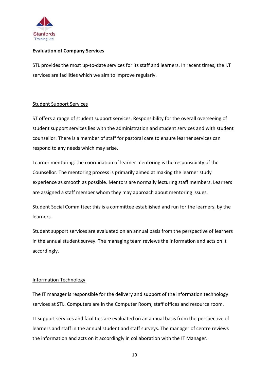

# **Evaluation of Company Services**

STL provides the most up-to-date services for its staff and learners. In recent times, the I.T services are facilities which we aim to improve regularly.

#### Student Support Services

ST offers a range of student support services. Responsibility for the overall overseeing of student support services lies with the administration and student services and with student counsellor. There is a member of staff for pastoral care to ensure learner services can respond to any needs which may arise.

Learner mentoring: the coordination of learner mentoring is the responsibility of the Counsellor. The mentoring process is primarily aimed at making the learner study experience as smooth as possible. Mentors are normally lecturing staff members. Learners are assigned a staff member whom they may approach about mentoring issues.

Student Social Committee: this is a committee established and run for the learners, by the learners.

Student support services are evaluated on an annual basis from the perspective of learners in the annual student survey. The managing team reviews the information and acts on it accordingly.

# Information Technology

The IT manager is responsible for the delivery and support of the information technology services at STL. Computers are in the Computer Room, staff offices and resource room.

IT support services and facilities are evaluated on an annual basis from the perspective of learners and staff in the annual student and staff surveys. The manager of centre reviews the information and acts on it accordingly in collaboration with the IT Manager.

19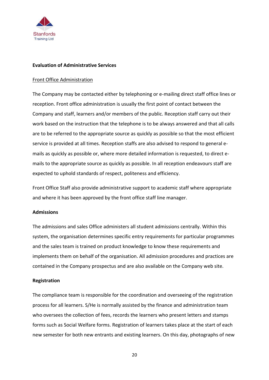

#### **Evaluation of Administrative Services**

#### Front Office Administration

The Company may be contacted either by telephoning or e-mailing direct staff office lines or reception. Front office administration is usually the first point of contact between the Company and staff, learners and/or members of the public. Reception staff carry out their work based on the instruction that the telephone is to be always answered and that all calls are to be referred to the appropriate source as quickly as possible so that the most efficient service is provided at all times. Reception staffs are also advised to respond to general emails as quickly as possible or, where more detailed information is requested, to direct emails to the appropriate source as quickly as possible. In all reception endeavours staff are expected to uphold standards of respect, politeness and efficiency.

Front Office Staff also provide administrative support to academic staff where appropriate and where it has been approved by the front office staff line manager.

#### **Admissions**

The admissions and sales Office administers all student admissions centrally. Within this system, the organisation determines specific entry requirements for particular programmes and the sales team is trained on product knowledge to know these requirements and implements them on behalf of the organisation. All admission procedures and practices are contained in the Company prospectus and are also available on the Company web site.

#### **Registration**

The compliance team is responsible for the coordination and overseeing of the registration process for all learners. S/He is normally assisted by the finance and administration team who oversees the collection of fees, records the learners who present letters and stamps forms such as Social Welfare forms. Registration of learners takes place at the start of each new semester for both new entrants and existing learners. On this day, photographs of new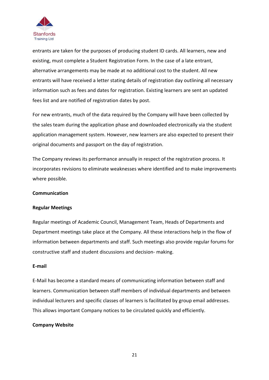

entrants are taken for the purposes of producing student ID cards. All learners, new and existing, must complete a Student Registration Form. In the case of a late entrant, alternative arrangements may be made at no additional cost to the student. All new entrants will have received a letter stating details of registration day outlining all necessary information such as fees and dates for registration. Existing learners are sent an updated fees list and are notified of registration dates by post.

For new entrants, much of the data required by the Company will have been collected by the sales team during the application phase and downloaded electronically via the student application management system. However, new learners are also expected to present their original documents and passport on the day of registration.

The Company reviews its performance annually in respect of the registration process. It incorporates revisions to eliminate weaknesses where identified and to make improvements where possible.

#### **Communication**

#### **Regular Meetings**

Regular meetings of Academic Council, Management Team, Heads of Departments and Department meetings take place at the Company. All these interactions help in the flow of information between departments and staff. Such meetings also provide regular forums for constructive staff and student discussions and decision- making.

#### **E-mail**

E-Mail has become a standard means of communicating information between staff and learners. Communication between staff members of individual departments and between individual lecturers and specific classes of learners is facilitated by group email addresses. This allows important Company notices to be circulated quickly and efficiently.

#### **Company Website**

21